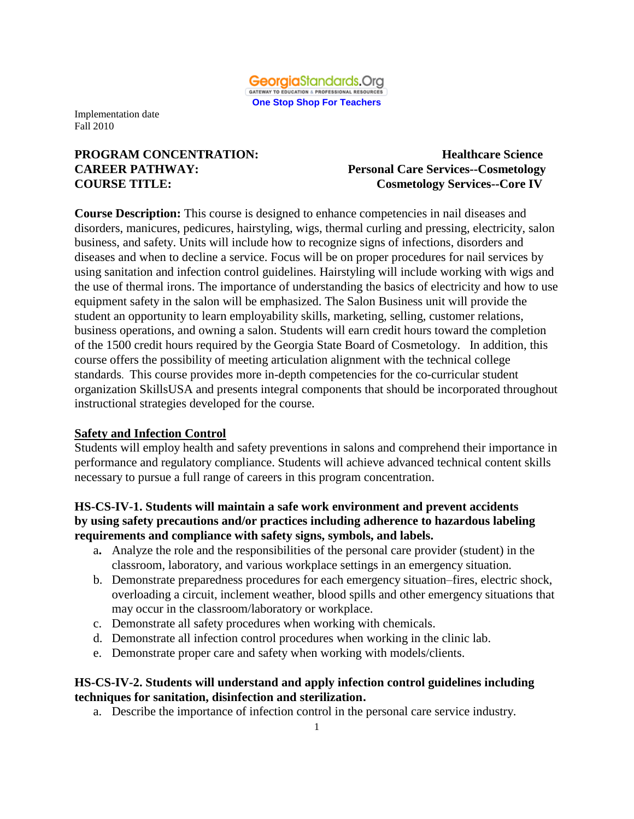

# **PROGRAM CONCENTRATION:** Healthcare Science

# **CAREER PATHWAY: Personal Care Services--Cosmetology COURSE TITLE: Cosmetology Services--Core IV**

**Course Description:** This course is designed to enhance competencies in nail diseases and disorders, manicures, pedicures, hairstyling, wigs, thermal curling and pressing, electricity, salon business, and safety. Units will include how to recognize signs of infections, disorders and diseases and when to decline a service. Focus will be on proper procedures for nail services by using sanitation and infection control guidelines. Hairstyling will include working with wigs and the use of thermal irons. The importance of understanding the basics of electricity and how to use equipment safety in the salon will be emphasized. The Salon Business unit will provide the student an opportunity to learn employability skills, marketing, selling, customer relations, business operations, and owning a salon. Students will earn credit hours toward the completion of the 1500 credit hours required by the Georgia State Board of Cosmetology. In addition, this course offers the possibility of meeting articulation alignment with the technical college standards. This course provides more in-depth competencies for the co-curricular student organization SkillsUSA and presents integral components that should be incorporated throughout instructional strategies developed for the course.

#### **Safety and Infection Control**

Students will employ health and safety preventions in salons and comprehend their importance in performance and regulatory compliance. Students will achieve advanced technical content skills necessary to pursue a full range of careers in this program concentration.

#### **HS-CS-IV-1. Students will maintain a safe work environment and prevent accidents by using safety precautions and/or practices including adherence to hazardous labeling requirements and compliance with safety signs, symbols, and labels.**

- a**.** Analyze the role and the responsibilities of the personal care provider (student) in the classroom, laboratory, and various workplace settings in an emergency situation*.*
- b. Demonstrate preparedness procedures for each emergency situation–fires, electric shock, overloading a circuit, inclement weather, blood spills and other emergency situations that may occur in the classroom/laboratory or workplace.
- c. Demonstrate all safety procedures when working with chemicals.
- d. Demonstrate all infection control procedures when working in the clinic lab.
- e. Demonstrate proper care and safety when working with models/clients.

#### **HS-CS-IV-2. Students will understand and apply infection control guidelines including techniques for sanitation, disinfection and sterilization.**

a. Describe the importance of infection control in the personal care service industry.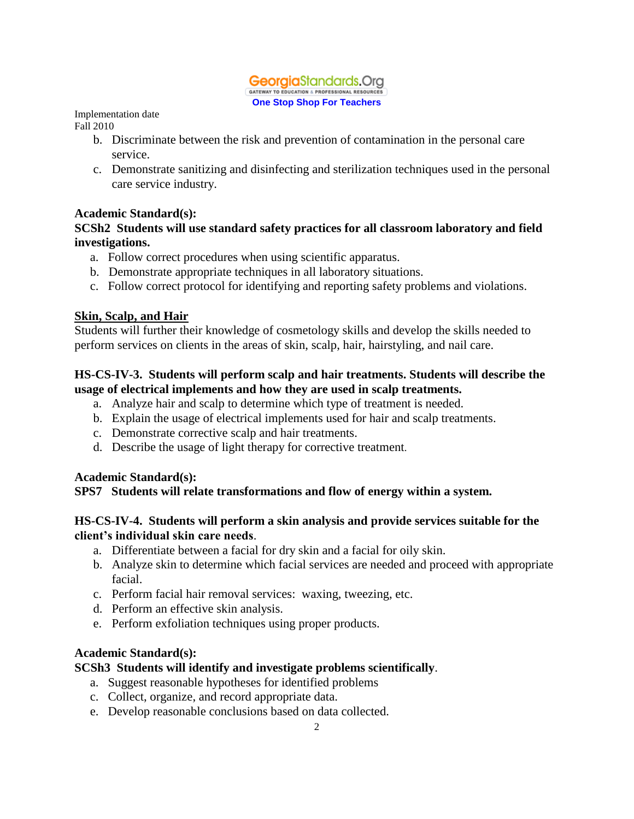#### **Georgia**Standards.Ora GATEWAY TO EDUCATION & PROFESSIONAL RESOURCES **One Stop Shop For Teachers**

Implementation date

Fall 2010

- b. Discriminate between the risk and prevention of contamination in the personal care service.
- c. Demonstrate sanitizing and disinfecting and sterilization techniques used in the personal care service industry.

## **Academic Standard(s):**

#### **SCSh2 Students will use standard safety practices for all classroom laboratory and field investigations.**

- a. Follow correct procedures when using scientific apparatus.
- b. Demonstrate appropriate techniques in all laboratory situations.
- c. Follow correct protocol for identifying and reporting safety problems and violations.

## **Skin, Scalp, and Hair**

Students will further their knowledge of cosmetology skills and develop the skills needed to perform services on clients in the areas of skin, scalp, hair, hairstyling, and nail care.

#### **HS-CS-IV-3. Students will perform scalp and hair treatments. Students will describe the usage of electrical implements and how they are used in scalp treatments.**

- a. Analyze hair and scalp to determine which type of treatment is needed.
- b. Explain the usage of electrical implements used for hair and scalp treatments.
- c. Demonstrate corrective scalp and hair treatments.
- d. Describe the usage of light therapy for corrective treatment.

# **Academic Standard(s):**

# **SPS7 Students will relate transformations and flow of energy within a system.**

## **HS-CS-IV-4. Students will perform a skin analysis and provide services suitable for the client's individual skin care needs**.

- a. Differentiate between a facial for dry skin and a facial for oily skin.
- b. Analyze skin to determine which facial services are needed and proceed with appropriate facial.
- c. Perform facial hair removal services: waxing, tweezing, etc.
- d. Perform an effective skin analysis.
- e. Perform exfoliation techniques using proper products.

#### **Academic Standard(s):**

# **SCSh3 Students will identify and investigate problems scientifically**.

- a. Suggest reasonable hypotheses for identified problems
- c. Collect, organize, and record appropriate data.
- e. Develop reasonable conclusions based on data collected.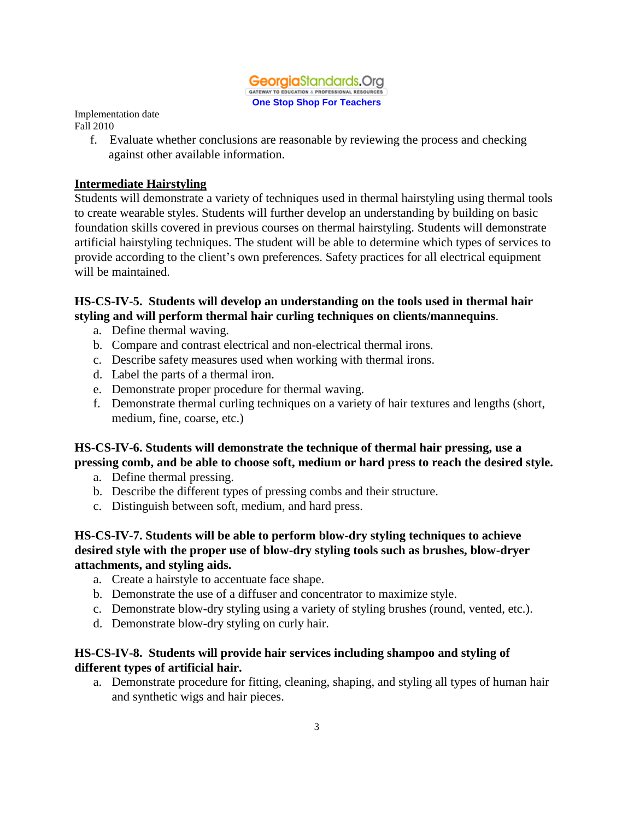

> f. Evaluate whether conclusions are reasonable by reviewing the process and checking against other available information.

## **Intermediate Hairstyling**

Students will demonstrate a variety of techniques used in thermal hairstyling using thermal tools to create wearable styles. Students will further develop an understanding by building on basic foundation skills covered in previous courses on thermal hairstyling. Students will demonstrate artificial hairstyling techniques. The student will be able to determine which types of services to provide according to the client's own preferences. Safety practices for all electrical equipment will be maintained.

#### **HS-CS-IV-5. Students will develop an understanding on the tools used in thermal hair styling and will perform thermal hair curling techniques on clients/mannequins**.

- a. Define thermal waving.
- b. Compare and contrast electrical and non-electrical thermal irons.
- c. Describe safety measures used when working with thermal irons.
- d. Label the parts of a thermal iron.
- e. Demonstrate proper procedure for thermal waving.
- f. Demonstrate thermal curling techniques on a variety of hair textures and lengths (short, medium, fine, coarse, etc.)

## **HS-CS-IV-6. Students will demonstrate the technique of thermal hair pressing, use a pressing comb, and be able to choose soft, medium or hard press to reach the desired style.**

- a. Define thermal pressing.
- b. Describe the different types of pressing combs and their structure.
- c. Distinguish between soft, medium, and hard press.

#### **HS-CS-IV-7. Students will be able to perform blow-dry styling techniques to achieve desired style with the proper use of blow-dry styling tools such as brushes, blow-dryer attachments, and styling aids.**

- a. Create a hairstyle to accentuate face shape.
- b. Demonstrate the use of a diffuser and concentrator to maximize style.
- c. Demonstrate blow-dry styling using a variety of styling brushes (round, vented, etc.).
- d. Demonstrate blow-dry styling on curly hair.

#### **HS-CS-IV-8. Students will provide hair services including shampoo and styling of different types of artificial hair.**

a. Demonstrate procedure for fitting, cleaning, shaping, and styling all types of human hair and synthetic wigs and hair pieces.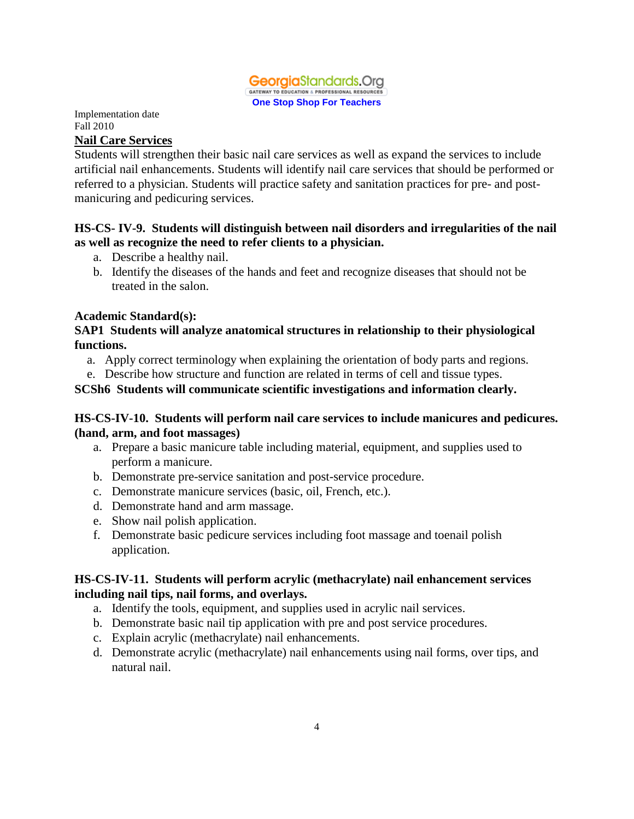

#### **Nail Care Services**

Students will strengthen their basic nail care services as well as expand the services to include artificial nail enhancements. Students will identify nail care services that should be performed or referred to a physician. Students will practice safety and sanitation practices for pre- and postmanicuring and pedicuring services.

#### **HS-CS- IV-9. Students will distinguish between nail disorders and irregularities of the nail as well as recognize the need to refer clients to a physician.**

- a. Describe a healthy nail.
- b. Identify the diseases of the hands and feet and recognize diseases that should not be treated in the salon.

#### **Academic Standard(s):**

#### **SAP1 Students will analyze anatomical structures in relationship to their physiological functions.**

- a. Apply correct terminology when explaining the orientation of body parts and regions.
- e. Describe how structure and function are related in terms of cell and tissue types.

#### **SCSh6 Students will communicate scientific investigations and information clearly.**

#### **HS-CS-IV-10. Students will perform nail care services to include manicures and pedicures. (hand, arm, and foot massages)**

- a. Prepare a basic manicure table including material, equipment, and supplies used to perform a manicure.
- b. Demonstrate pre-service sanitation and post-service procedure.
- c. Demonstrate manicure services (basic, oil, French, etc.).
- d. Demonstrate hand and arm massage.
- e. Show nail polish application.
- f. Demonstrate basic pedicure services including foot massage and toenail polish application.

#### **HS-CS-IV-11. Students will perform acrylic (methacrylate) nail enhancement services including nail tips, nail forms, and overlays.**

- a. Identify the tools, equipment, and supplies used in acrylic nail services.
- b. Demonstrate basic nail tip application with pre and post service procedures.
- c. Explain acrylic (methacrylate) nail enhancements.
- d. Demonstrate acrylic (methacrylate) nail enhancements using nail forms, over tips, and natural nail.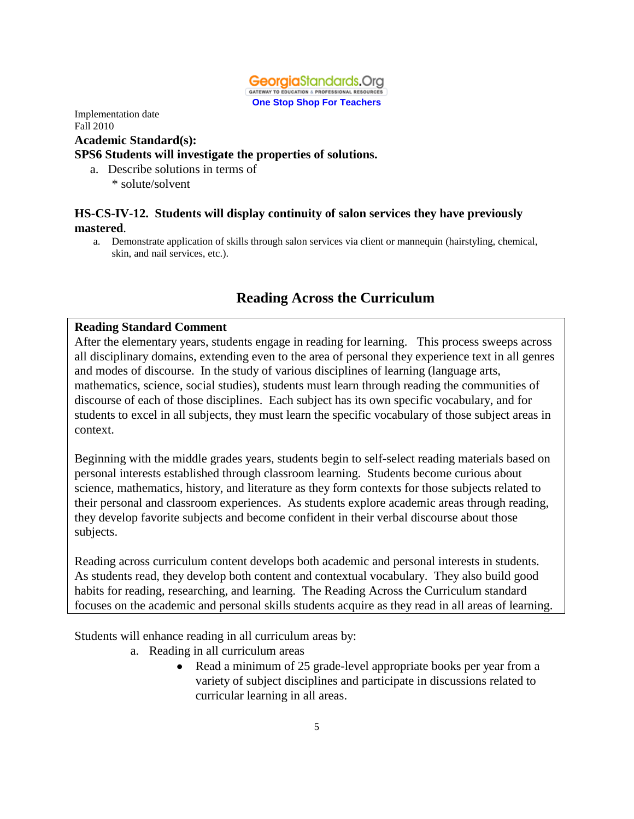

Implementation date Fall 2010 **Academic Standard(s): SPS6 Students will investigate the properties of solutions.** 

 a. Describe solutions in terms of \* solute/solvent

#### **HS-CS-IV-12. Students will display continuity of salon services they have previously mastered**.

a. Demonstrate application of skills through salon services via client or mannequin (hairstyling, chemical, skin, and nail services, etc.).

# **Reading Across the Curriculum**

#### **Reading Standard Comment**

After the elementary years, students engage in reading for learning. This process sweeps across all disciplinary domains, extending even to the area of personal they experience text in all genres and modes of discourse. In the study of various disciplines of learning (language arts, mathematics, science, social studies), students must learn through reading the communities of discourse of each of those disciplines. Each subject has its own specific vocabulary, and for students to excel in all subjects, they must learn the specific vocabulary of those subject areas in context.

Beginning with the middle grades years, students begin to self-select reading materials based on personal interests established through classroom learning. Students become curious about science, mathematics, history, and literature as they form contexts for those subjects related to their personal and classroom experiences. As students explore academic areas through reading, they develop favorite subjects and become confident in their verbal discourse about those subjects.

Reading across curriculum content develops both academic and personal interests in students. As students read, they develop both content and contextual vocabulary. They also build good habits for reading, researching, and learning. The Reading Across the Curriculum standard focuses on the academic and personal skills students acquire as they read in all areas of learning.

Students will enhance reading in all curriculum areas by:

- a. Reading in all curriculum areas
	- Read a minimum of 25 grade-level appropriate books per year from a variety of subject disciplines and participate in discussions related to curricular learning in all areas.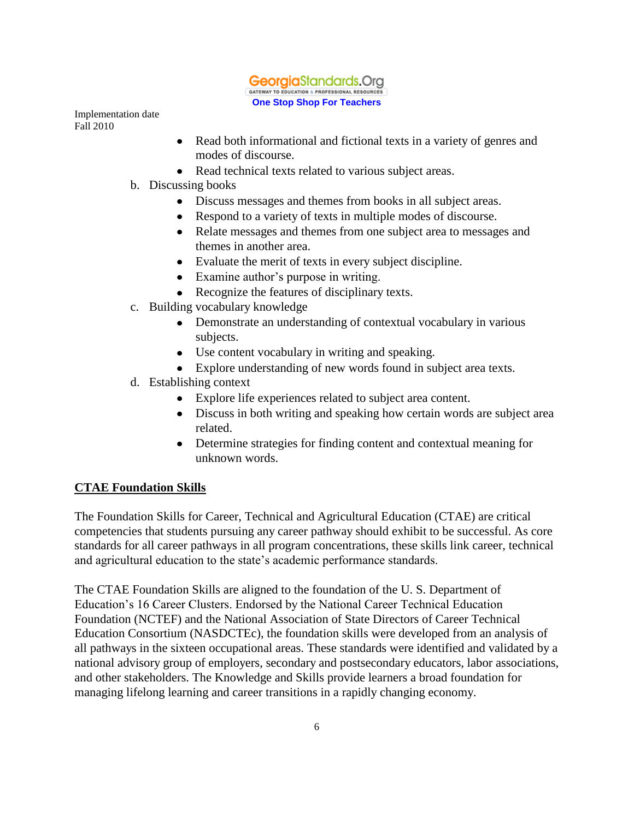

- Read both informational and fictional texts in a variety of genres and modes of discourse.
- Read technical texts related to various subject areas.
- b. Discussing books
	- Discuss messages and themes from books in all subject areas.
	- Respond to a variety of texts in multiple modes of discourse.
	- Relate messages and themes from one subject area to messages and themes in another area.
	- Evaluate the merit of texts in every subject discipline.
	- Examine author's purpose in writing.
	- Recognize the features of disciplinary texts.
- c. Building vocabulary knowledge
	- Demonstrate an understanding of contextual vocabulary in various subjects.
	- Use content vocabulary in writing and speaking.
	- Explore understanding of new words found in subject area texts.
- d. Establishing context
	- Explore life experiences related to subject area content.
	- Discuss in both writing and speaking how certain words are subject area related.
	- Determine strategies for finding content and contextual meaning for unknown words.

#### **CTAE Foundation Skills**

The Foundation Skills for Career, Technical and Agricultural Education (CTAE) are critical competencies that students pursuing any career pathway should exhibit to be successful. As core standards for all career pathways in all program concentrations, these skills link career, technical and agricultural education to the state's academic performance standards.

The CTAE Foundation Skills are aligned to the foundation of the U. S. Department of Education's 16 Career Clusters. Endorsed by the National Career Technical Education Foundation (NCTEF) and the National Association of State Directors of Career Technical Education Consortium (NASDCTEc), the foundation skills were developed from an analysis of all pathways in the sixteen occupational areas. These standards were identified and validated by a national advisory group of employers, secondary and postsecondary educators, labor associations, and other stakeholders. The Knowledge and Skills provide learners a broad foundation for managing lifelong learning and career transitions in a rapidly changing economy.